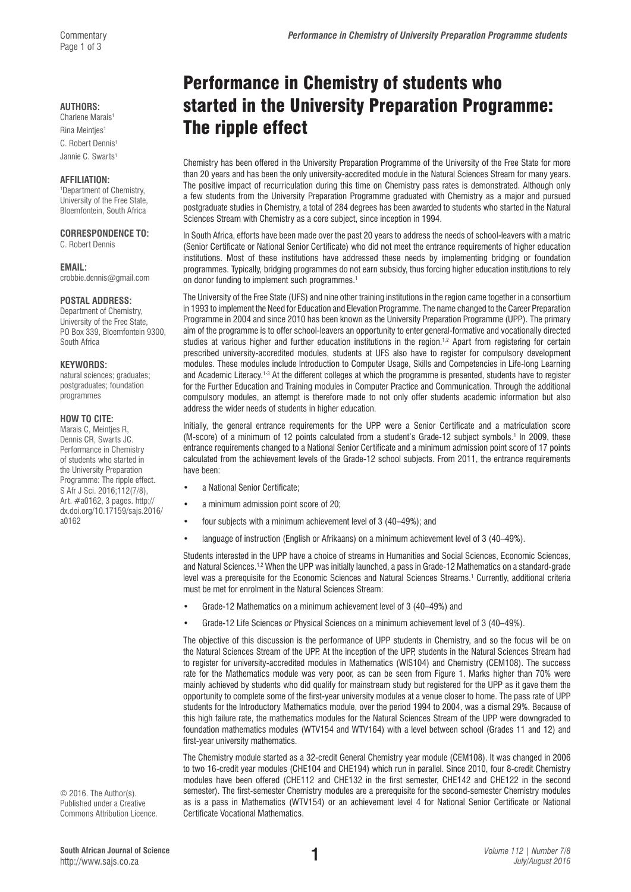#### **AUTHORS:**

Charlene Marais<sup>1</sup> Rina Meintjes1 C. Robert Dennis<sup>1</sup> Jannie C. Swarts1

#### **AFFILIATION:**

1 Department of Chemistry, University of the Free State, Bloemfontein, South Africa

### **CORRESPONDENCE TO:**

C. Robert Dennis

#### **EMAIL:**

[crobbie.dennis@gmail.com](mailto:crobbie.dennis@gmail.com)

#### **POSTAL ADDRESS:**

Department of Chemistry, University of the Free State, PO Box 339, Bloemfontein 9300, South Africa

#### **KEYWORDS:**

natural sciences; graduates; postgraduates; foundation programmes

#### **HOW TO CITE:**

Marais C, Meintjes R, Dennis CR, Swarts JC. Performance in Chemistry of students who started in the University Preparation Programme: The ripple effect. S Afr J Sci. 2016;112(7/8), Art. #a0162, 3 pages. [http://](http://dx.doi.org/10.17159/sajs.2016/a0162) [dx.doi.org/10.17159/sajs.2016/](http://dx.doi.org/10.17159/sajs.2016/a0162) [a0162](http://dx.doi.org/10.17159/sajs.2016/a0162)

© 2016. The Author(s). Published under a Creative Commons Attribution Licence.

# Performance in Chemistry of students who started in the University Preparation Programme: The ripple effect

Chemistry has been offered in the University Preparation Programme of the University of the Free State for more than 20 years and has been the only university-accredited module in the Natural Sciences Stream for many years. The positive impact of recurriculation during this time on Chemistry pass rates is demonstrated. Although only a few students from the University Preparation Programme graduated with Chemistry as a major and pursued postgraduate studies in Chemistry, a total of 284 degrees has been awarded to students who started in the Natural Sciences Stream with Chemistry as a core subject, since inception in 1994.

In South Africa, efforts have been made over the past 20 years to address the needs of school-leavers with a matric (Senior Certificate or National Senior Certificate) who did not meet the entrance requirements of higher education institutions. Most of these institutions have addressed these needs by implementing bridging or foundation programmes. Typically, bridging programmes do not earn subsidy, thus forcing higher education institutions to rely on donor funding to implement such programmes.<sup>1</sup>

The University of the Free State (UFS) and nine other training institutions in the region came together in a consortium in 1993 to implement the Need for Education and Elevation Programme. The name changed to the Career Preparation Programme in 2004 and since 2010 has been known as the University Preparation Programme (UPP). The primary aim of the programme is to offer school-leavers an opportunity to enter general-formative and vocationally directed studies at various higher and further education institutions in the region.<sup>1,2</sup> Apart from registering for certain prescribed university-accredited modules, students at UFS also have to register for compulsory development modules. These modules include Introduction to Computer Usage, Skills and Competencies in Life-long Learning and Academic Literacy.<sup>1-3</sup> At the different colleges at which the programme is presented, students have to register for the Further Education and Training modules in Computer Practice and Communication. Through the additional compulsory modules, an attempt is therefore made to not only offer students academic information but also address the wider needs of students in higher education.

Initially, the general entrance requirements for the UPP were a Senior Certificate and a matriculation score (M-score) of a minimum of 12 points calculated from a student's Grade-12 subject symbols.1 In 2009, these entrance requirements changed to a National Senior Certificate and a minimum admission point score of 17 points calculated from the achievement levels of the Grade-12 school subjects. From 2011, the entrance requirements have been:

- a National Senior Certificate;
- a minimum admission point score of 20;
- four subjects with a minimum achievement level of 3 (40–49%); and
- language of instruction (English or Afrikaans) on a minimum achievement level of 3 (40–49%).

Students interested in the UPP have a choice of streams in Humanities and Social Sciences, Economic Sciences, and Natural Sciences.<sup>1,2</sup> When the UPP was initially launched, a pass in Grade-12 Mathematics on a standard-grade level was a prerequisite for the Economic Sciences and Natural Sciences Streams.<sup>1</sup> Currently, additional criteria must be met for enrolment in the Natural Sciences Stream:

- Grade-12 Mathematics on a minimum achievement level of 3 (40–49%) and
- Grade-12 Life Sciences *or* Physical Sciences on a minimum achievement level of 3 (40–49%).

The objective of this discussion is the performance of UPP students in Chemistry, and so the focus will be on the Natural Sciences Stream of the UPP. At the inception of the UPP, students in the Natural Sciences Stream had to register for university-accredited modules in Mathematics (WIS104) and Chemistry (CEM108). The success rate for the Mathematics module was very poor, as can be seen from Figure 1. Marks higher than 70% were mainly achieved by students who did qualify for mainstream study but registered for the UPP as it gave them the opportunity to complete some of the first-year university modules at a venue closer to home. The pass rate of UPP students for the Introductory Mathematics module, over the period 1994 to 2004, was a dismal 29%. Because of this high failure rate, the mathematics modules for the Natural Sciences Stream of the UPP were downgraded to foundation mathematics modules (WTV154 and WTV164) with a level between school (Grades 11 and 12) and first-year university mathematics.

The Chemistry module started as a 32-credit General Chemistry year module (CEM108). It was changed in 2006 to two 16-credit year modules (CHE104 and CHE194) which run in parallel. Since 2010, four 8-credit Chemistry modules have been offered (CHE112 and CHE132 in the first semester, CHE142 and CHE122 in the second semester). The first-semester Chemistry modules are a prerequisite for the second-semester Chemistry modules as is a pass in Mathematics (WTV154) or an achievement level 4 for National Senior Certificate or National Certificate Vocational Mathematics.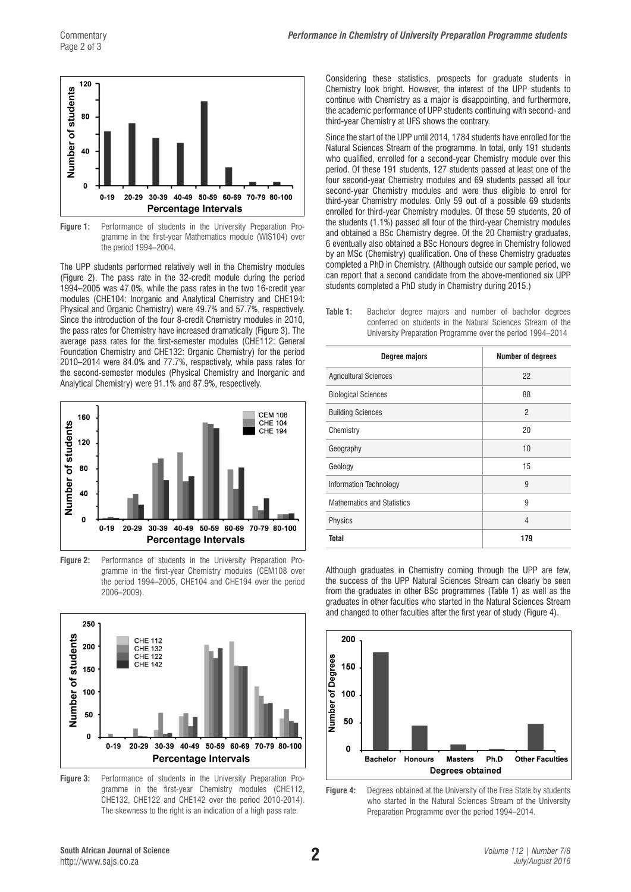

**Figure 1:** Performance of students in the University Preparation Programme in the first-year Mathematics module (WIS104) over the period 1994–2004.

The UPP students performed relatively well in the Chemistry modules (Figure 2). The pass rate in the 32-credit module during the period 1994–2005 was 47.0%, while the pass rates in the two 16-credit year modules (CHE104: Inorganic and Analytical Chemistry and CHE194: Physical and Organic Chemistry) were 49.7% and 57.7%, respectively. Since the introduction of the four 8-credit Chemistry modules in 2010, the pass rates for Chemistry have increased dramatically (Figure 3). The average pass rates for the first-semester modules (CHE112: General Foundation Chemistry and CHE132: Organic Chemistry) for the period 2010–2014 were 84.0% and 77.7%, respectively, while pass rates for the second-semester modules (Physical Chemistry and Inorganic and Analytical Chemistry) were 91.1% and 87.9%, respectively.



**Figure 2:** Performance of students in the University Preparation Programme in the first-year Chemistry modules (CEM108 over the period 1994–2005, CHE104 and CHE194 over the period 2006–2009).



**Figure 3:** Performance of students in the University Preparation Programme in the first-year Chemistry modules (CHE112, CHE132, CHE122 and CHE142 over the period 2010-2014). The skewness to the right is an indication of a high pass rate.

Considering these statistics, prospects for graduate students in Chemistry look bright. However, the interest of the UPP students to continue with Chemistry as a major is disappointing, and furthermore, the academic performance of UPP students continuing with second- and third-year Chemistry at UFS shows the contrary.

Since the start of the UPP until 2014, 1784 students have enrolled for the Natural Sciences Stream of the programme. In total, only 191 students who qualified, enrolled for a second-year Chemistry module over this period. Of these 191 students, 127 students passed at least one of the four second-year Chemistry modules and 69 students passed all four second-year Chemistry modules and were thus eligible to enrol for third-year Chemistry modules. Only 59 out of a possible 69 students enrolled for third-year Chemistry modules. Of these 59 students, 20 of the students (1.1%) passed all four of the third-year Chemistry modules and obtained a BSc Chemistry degree. Of the 20 Chemistry graduates, 6 eventually also obtained a BSc Honours degree in Chemistry followed by an MSc (Chemistry) qualification. One of these Chemistry graduates completed a PhD in Chemistry. (Although outside our sample period, we can report that a second candidate from the above-mentioned six UPP students completed a PhD study in Chemistry during 2015.)

**Table 1:** Bachelor degree majors and number of bachelor degrees conferred on students in the Natural Sciences Stream of the University Preparation Programme over the period 1994–2014

| <b>Degree majors</b>              | <b>Number of degrees</b> |
|-----------------------------------|--------------------------|
| <b>Agricultural Sciences</b>      | 22                       |
| <b>Biological Sciences</b>        | 88                       |
| <b>Building Sciences</b>          | $\mathfrak{p}$           |
| Chemistry                         | 20                       |
| Geography                         | 10                       |
| Geology                           | 15                       |
| Information Technology            | 9                        |
| <b>Mathematics and Statistics</b> | 9                        |
| Physics                           | 4                        |
| <b>Total</b>                      | 179                      |

Although graduates in Chemistry coming through the UPP are few, the success of the UPP Natural Sciences Stream can clearly be seen from the graduates in other BSc programmes (Table 1) as well as the graduates in other faculties who started in the Natural Sciences Stream and changed to other faculties after the first year of study (Figure 4).



**Figure 4:** Degrees obtained at the University of the Free State by students who started in the Natural Sciences Stream of the University Preparation Programme over the period 1994–2014.